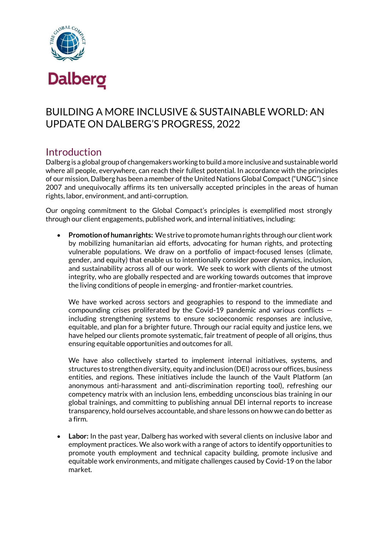

# BUILDING A MORE INCLUSIVE & SUSTAINABLE WORLD: AN UPDATE ON DALBERG'S PROGRESS, 2022

# Introduction

Dalberg is a global group of changemakers working to build a more inclusive and sustainable world where all people, everywhere, can reach their fullest potential. In accordance with the principles of our mission, Dalberg has been a member of the United Nations Global Compact ("UNGC") since 2007 and unequivocally affirms its ten universally accepted principles in the areas of human rights, labor, environment, and anti-corruption.

Our ongoing commitment to the Global Compact's principles is exemplified most strongly through our client engagements, published work, and internal initiatives, including:

• **Promotion of human rights:** We strive to promote human rights through our client work by mobilizing humanitarian aid efforts, advocating for human rights, and protecting vulnerable populations. We draw on a portfolio of impact-focused lenses (climate, gender, and equity) that enable us to intentionally consider power dynamics, inclusion, and sustainability across all of our work. We seek to work with clients of the utmost integrity, who are globally respected and are working towards outcomes that improve the living conditions of people in emerging- and frontier-market countries.

We have worked across sectors and geographies to respond to the immediate and compounding crises proliferated by the Covid-19 pandemic and various conflicts including strengthening systems to ensure socioeconomic responses are inclusive, equitable, and plan for a brighter future. Through our racial equity and justice lens, we have helped our clients promote systematic, fair treatment of people of all origins, thus ensuring equitable opportunities and outcomes for all.

We have also collectively started to implement internal initiatives, systems, and structures to strengthen diversity, equity and inclusion (DEI) across our offices, business entities, and regions. These initiatives include the launch of the Vault Platform (an anonymous anti-harassment and anti-discrimination reporting tool), refreshing our competency matrix with an inclusion lens, embedding unconscious bias training in our global trainings, and committing to publishing annual DEI internal reports to increase transparency, hold ourselves accountable, and share lessons on how we can do better as a firm.

• **Labor:** In the past year, Dalberg has worked with several clients on inclusive labor and employment practices. We also work with a range of actors to identify opportunities to promote youth employment and technical capacity building, promote inclusive and equitable work environments, and mitigate challenges caused by Covid-19 on the labor market.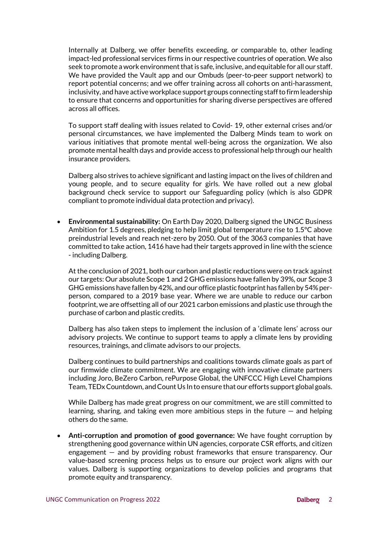Internally at Dalberg, we offer benefits exceeding, or comparable to, other leading impact-led professional services firms in our respective countries of operation. We also seek to promote a work environment that is safe, inclusive, and equitable for all our staff. We have provided the Vault app and our Ombuds (peer-to-peer support network) to report potential concerns; and we offer training across all cohorts on anti-harassment, inclusivity, and have active workplace support groups connecting staff to firm leadership to ensure that concerns and opportunities for sharing diverse perspectives are offered across all offices.

To support staff dealing with issues related to Covid- 19, other external crises and/or personal circumstances, we have implemented the Dalberg Minds team to work on various initiatives that promote mental well-being across the organization. We also promote mental health days and provide access to professional help through our health insurance providers.

Dalberg also strives to achieve significant and lasting impact on the lives of children and young people, and to secure equality for girls. We have rolled out a new global background check service to support our Safeguarding policy (which is also GDPR compliant to promote individual data protection and privacy).

• **Environmental sustainability:** On Earth Day 2020, Dalberg signed the UNGC Business Ambition for 1.5 degrees, pledging to help limit global temperature rise to 1.5°C above preindustrial levels and reach net-zero by 2050. Out of the 3063 companies that have committed to take action, 1416 have had their targets approved in line with the science - including Dalberg.

At the conclusion of 2021, both our carbon and plastic reductions were on track against our targets: Our absolute Scope 1 and 2 GHG emissions have fallen by 39%, our Scope 3 GHG emissions have fallen by 42%, and our office plastic footprint has fallen by 54% perperson, compared to a 2019 base year. Where we are unable to reduce our carbon footprint, we are offsetting all of our 2021 carbon emissions and plastic use through the purchase of carbon and plastic credits.

Dalberg has also taken steps to implement the inclusion of a 'climate lens' across our advisory projects. We continue to support teams to apply a climate lens by providing resources, trainings, and climate advisors to our projects.

Dalberg continues to build partnerships and coalitions towards climate goals as part of our firmwide climate commitment. We are engaging with innovative climate partners including Joro, BeZero Carbon, rePurpose Global, the UNFCCC High Level Champions Team, TEDx Countdown, and Count Us In to ensure that our efforts support global goals.

While Dalberg has made great progress on our commitment, we are still committed to learning, sharing, and taking even more ambitious steps in the future — and helping others do the same.

• **Anti-corruption and promotion of good governance:** We have fought corruption by strengthening good governance within UN agencies, corporate CSR efforts, and citizen engagement — and by providing robust frameworks that ensure transparency. Our value-based screening process helps us to ensure our project work aligns with our values. Dalberg is supporting organizations to develop policies and programs that promote equity and transparency.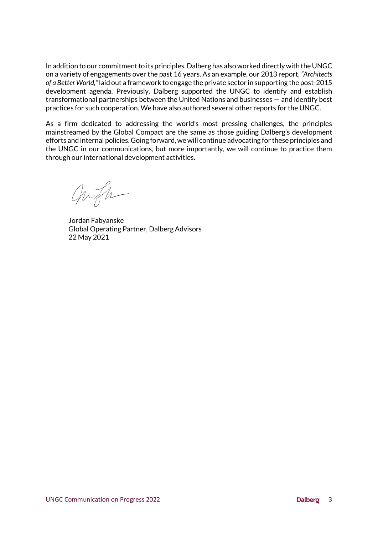In addition to our commitment to its principles, Dalberg has also worked directly with the UNGC on a variety of engagements over the past 16 years. As an example, our 2013 report, *"Architects of a Better World,"*laid out a framework to engage the private sector in supporting the post-2015 development agenda. Previously, Dalberg supported the UNGC to identify and establish transformational partnerships between the United Nations and businesses — and identify best practices for such cooperation. We have also authored several other reports for the UNGC.

As a firm dedicated to addressing the world's most pressing challenges, the principles mainstreamed by the Global Compact are the same as those guiding Dalberg's development efforts and internal policies. Going forward, we will continue advocating for these principles and the UNGC in our communications, but more importantly, we will continue to practice them through our international development activities.

angh

Jordan Fabyanske Global Operating Partner, Dalberg Advisors 22 May 2021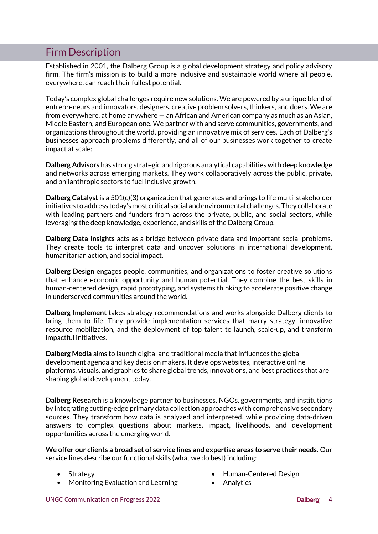# Firm Description

Established in 2001, the Dalberg Group is a global development strategy and policy advisory firm. The firm's mission is to build a more inclusive and sustainable world where all people, everywhere, can reach their fullest potential.

Today's complex global challenges require new solutions. We are powered by a unique blend of entrepreneurs and innovators, designers, creative problem solvers, thinkers, and doers. We are from everywhere, at home anywhere — an African and American company as much as an Asian, Middle Eastern, and European one. We partner with and serve communities, governments, and organizations throughout the world, providing an innovative mix of services. Each of Dalberg's businesses approach problems differently, and all of our businesses work together to create impact at scale:

**Dalberg Advisors** has strong strategic and rigorous analytical capabilities with deep knowledge and networks across emerging markets. They work collaboratively across the public, private, and philanthropic sectors to fuel inclusive growth.

**Dalberg Catalyst** is a 501(c)(3) organization that generates and brings to life multi-stakeholder initiatives to address today's most critical social and environmental challenges. They collaborate with leading partners and funders from across the private, public, and social sectors, while leveraging the deep knowledge, experience, and skills of the Dalberg Group.

**Dalberg Data Insights** acts as a bridge between private data and important social problems. They create tools to interpret data and uncover solutions in international development, humanitarian action, and social impact.

**Dalberg Design** engages people, communities, and organizations to foster creative solutions that enhance economic opportunity and human potential. They combine the best skills in human-centered design, rapid prototyping, and systems thinking to accelerate positive change in underserved communities around the world.

**Dalberg Implement** takes strategy recommendations and works alongside Dalberg clients to bring them to life. They provide implementation services that marry strategy, innovative resource mobilization, and the deployment of top talent to launch, scale-up, and transform impactful initiatives.

**Dalberg Media** aims to launch digital and traditional media that influences the global development agenda and key decision makers. It develops websites, interactive online platforms, visuals, and graphics to share global trends, innovations, and best practices that are shaping global development today.

**Dalberg Research** is a knowledge partner to businesses, NGOs, governments, and institutions by integrating cutting-edge primary data collection approaches with comprehensive secondary sources. They transform how data is analyzed and interpreted, while providing data-driven answers to complex questions about markets, impact, livelihoods, and development opportunities across the emerging world.

**We offer our clients a broad set of service lines and expertise areas to serve their needs.** Our service lines describe our functional skills (what we do best) including:

- Strategy
- Monitoring Evaluation and Learning
- Human-Centered Design
- **Analytics**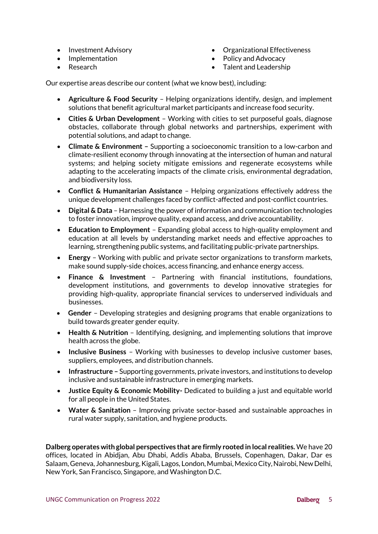- Investment Advisory
- Implementation
- Research
- Organizational Effectiveness
- Policy and Advocacy
- Talent and Leadership

Our expertise areas describe our content (what we know best), including:

- **Agriculture & Food Security** Helping organizations identify, design, and implement solutions that benefit agricultural market participants and increase food security.
- **Cities & Urban Development**  Working with cities to set purposeful goals, diagnose obstacles, collaborate through global networks and partnerships, experiment with potential solutions, and adapt to change.
- **Climate & Environment –** Supporting a socioeconomic transition to a low-carbon and climate-resilient economy through innovating at the intersection of human and natural systems; and helping society mitigate emissions and regenerate ecosystems while adapting to the accelerating impacts of the climate crisis, environmental degradation, and biodiversity loss.
- **Conflict & Humanitarian Assistance** Helping organizations effectively address the unique development challenges faced by conflict-affected and post-conflict countries.
- **Digital & Data** Harnessing the power of information and communication technologies to foster innovation, improve quality, expand access, and drive accountability.
- **Education to Employment** Expanding global access to high-quality employment and education at all levels by understanding market needs and effective approaches to learning, strengthening public systems, and facilitating public-private partnerships.
- **Energy**  Working with public and private sector organizations to transform markets, make sound supply-side choices, access financing, and enhance energy access.
- **Finance & Investment** Partnering with financial institutions, foundations, development institutions, and governments to develop innovative strategies for providing high-quality, appropriate financial services to underserved individuals and businesses.
- **Gender**  Developing strategies and designing programs that enable organizations to build towards greater gender equity.
- **Health & Nutrition** Identifying, designing, and implementing solutions that improve health across the globe.
- **Inclusive Business** Working with businesses to develop inclusive customer bases, suppliers, employees, and distribution channels.
- **Infrastructure –** Supporting governments, private investors, and institutions to develop inclusive and sustainable infrastructure in emerging markets.
- **Justice Equity & Economic Mobility-** Dedicated to building a just and equitable world for all people in the United States.
- **Water & Sanitation** Improving private sector-based and sustainable approaches in rural water supply, sanitation, and hygiene products.

**Dalberg operates with global perspectives that are firmly rooted in local realities.** We have 20 offices, located in Abidjan, Abu Dhabi, Addis Ababa, Brussels, Copenhagen, Dakar, Dar es Salaam, Geneva, Johannesburg, Kigali, Lagos, London, Mumbai, Mexico City, Nairobi, New Delhi, New York, San Francisco, Singapore, and Washington D.C.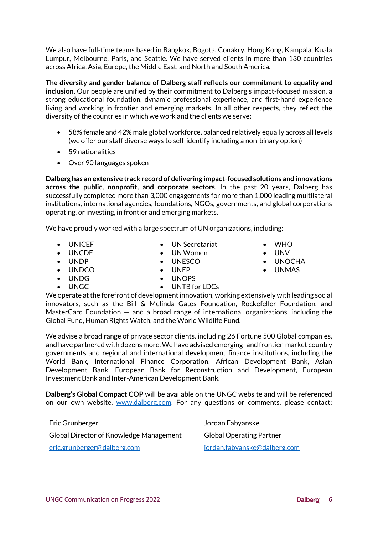We also have full-time teams based in Bangkok, Bogota, Conakry, Hong Kong, Kampala, Kuala Lumpur, Melbourne, Paris, and Seattle. We have served clients in more than 130 countries across Africa, Asia, Europe, the Middle East, and North and South America.

**The diversity and gender balance of Dalberg staff reflects our commitment to equality and inclusion.** Our people are unified by their commitment to Dalberg's impact-focused mission, a strong educational foundation, dynamic professional experience, and first-hand experience living and working in frontier and emerging markets. In all other respects, they reflect the diversity of the countries in which we work and the clients we serve:

- 58% female and 42% male global workforce, balanced relatively equally across all levels (we offer our staff diverse ways to self-identify including a non-binary option)
- 59 nationalities
- Over 90 languages spoken

**Dalberg has an extensive track record of delivering impact-focused solutions and innovations across the public, nonprofit, and corporate sectors**. In the past 20 years, Dalberg has successfully completed more than 3,000 engagements for more than 1,000 leading multilateral institutions, international agencies, foundations, NGOs, governments, and global corporations operating, or investing, in frontier and emerging markets.

We have proudly worked with a large spectrum of UN organizations, including:

• UNICEF • UNCDF

• UNDP

- UN Secretariat
- UN Women
- UNESCO
	- UNEP
- UNOCHA
- UNMAS

• WHO

- UNDCO • UNDG
- UNGC

• UNTB for LDCs

We operate at the forefront of development innovation, working extensively with leading social innovators, such as the Bill & Melinda Gates Foundation, Rockefeller Foundation, and MasterCard Foundation — and a broad range of international organizations, including the Global Fund, Human Rights Watch, and the World Wildlife Fund.

We advise a broad range of private sector clients, including 26 Fortune 500 Global companies, and have partnered with dozens more. We have advised emerging- and frontier-market country governments and regional and international development finance institutions, including the World Bank, International Finance Corporation, African Development Bank, Asian Development Bank, European Bank for Reconstruction and Development, European Investment Bank and Inter-American Development Bank.

**Dalberg's Global Compact COP** will be available on the UNGC website and will be referenced on our own website, [www.dalberg.com.](http://www.dalberg.com/) For any questions or comments, please contact:

Eric Grunberger Jordan Fabyanske Global Director of Knowledge Management [eric.grunberger@dalberg.com](mailto:eric.grunberger@dalberg.com)

Global Operating Partner [jordan.fabyanske@dalberg.com](mailto:jordan.fabyanske@dalberg.com)

- 
- UNV
- 
- 
- UNOPS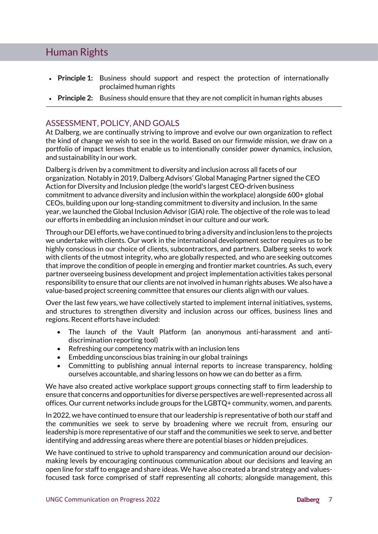## Human Rights

- **Principle 1:** Business should support and respect the protection of internationally proclaimed human rights
- **Principle 2:** Business should ensure that they are not complicit in human rights abuses

### ASSESSMENT, POLICY, AND GOALS

At Dalberg, we are continually striving to improve and evolve our own organization to reflect the kind of change we wish to see in the world. Based on our firmwide mission, we draw on a portfolio of impact lenses that enable us to intentionally consider power dynamics, inclusion, and sustainability in our work.

Dalberg is driven by a commitment to diversity and inclusion across all facets of our organization. Notably in 2019, Dalberg Advisors' Global Managing Partner signed the CEO Action for Diversity and Inclusion pledge (the world's largest CEO-driven business commitment to advance diversity and inclusion within the workplace) alongside 600+ global CEOs, building upon our long-standing commitment to diversity and inclusion. In the same year, we launched the Global Inclusion Advisor (GIA) role. The objective of the role was to lead our efforts in embedding an inclusion mindset in our culture and our work.

Through our DEI efforts, we have continued to bring a diversity and inclusion lens to the projects we undertake with clients. Our work in the international development sector requires us to be highly conscious in our choice of clients, subcontractors, and partners. Dalberg seeks to work with clients of the utmost integrity, who are globally respected, and who are seeking outcomes that improve the condition of people in emerging and frontier market countries. As such, every partner overseeing business development and project implementation activities takes personal responsibility to ensure that our clients are not involved in human rights abuses. We also have a value-based project screening committee that ensures our clients align with our values.

Over the last few years, we have collectively started to implement internal initiatives, systems, and structures to strengthen diversity and inclusion across our offices, business lines and regions. Recent efforts have included:

- The launch of the Vault Platform (an anonymous anti-harassment and antidiscrimination reporting tool)
- Refreshing our competency matrix with an inclusion lens
- Embedding unconscious bias training in our global trainings
- Committing to publishing annual internal reports to increase transparency, holding ourselves accountable, and sharing lessons on how we can do better as a firm.

We have also created active workplace support groups connecting staff to firm leadership to ensure that concerns and opportunities for diverse perspectives are well-represented across all offices. Our current networks include groups for the LGBTQ+ community, women, and parents.

In 2022, we have continued to ensure that our leadership is representative of both our staff and the communities we seek to serve by broadening where we recruit from, ensuring our leadership is more representative of our staff and the communities we seek to serve, and better identifying and addressing areas where there are potential biases or hidden prejudices.

We have continued to strive to uphold transparency and communication around our decisionmaking levels by encouraging continuous communication about our decisions and leaving an open line for staff to engage and share ideas. We have also created a brand strategy and valuesfocused task force comprised of staff representing all cohorts; alongside management, this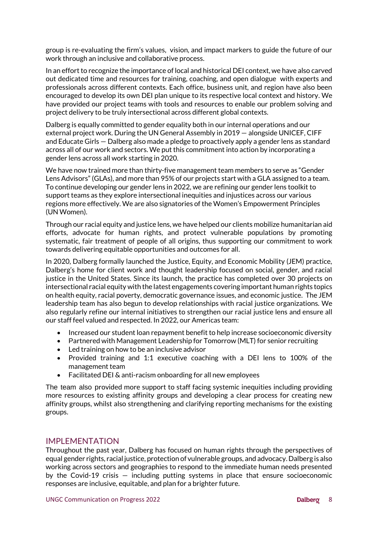group is re-evaluating the firm's values, vision, and impact markers to guide the future of our work through an inclusive and collaborative process.

In an effort to recognize the importance of local and historical DEI context, we have also carved out dedicated time and resources for training, coaching, and open dialogue with experts and professionals across different contexts. Each office, business unit, and region have also been encouraged to develop its own DEI plan unique to its respective local context and history. We have provided our project teams with tools and resources to enable our problem solving and project delivery to be truly intersectional across different global contexts.

Dalberg is equally committed to gender equality both in our internal operations and our external project work. During the UN General Assembly in 2019 — alongside UNICEF, CIFF and Educate Girls — Dalberg also made a pledge to proactively apply a gender lens as standard across all of our work and sectors. We put this commitment into action by incorporating a gender lens across all work starting in 2020.

We have now trained more than thirty-five management team members to serve as "Gender Lens Advisors" (GLAs), and more than 95% of our projects start with a GLA assigned to a team. To continue developing our gender lens in 2022, we are refining our gender lens toolkit to support teams as they explore intersectional inequities and injustices across our various regions more effectively. We are also signatories of the Women's Empowerment Principles (UN Women).

Through our racial equity and justice lens, we have helped our clients mobilize humanitarian aid efforts, advocate for human rights, and protect vulnerable populations by promoting systematic, fair treatment of people of all origins, thus supporting our commitment to work towards delivering equitable opportunities and outcomes for all.

In 2020, Dalberg formally launched the Justice, Equity, and Economic Mobility (JEM) practice, Dalberg's home for client work and thought leadership focused on social, gender, and racial justice in the United States. Since its launch, the practice has completed over 30 projects on intersectional racial equity with the latest engagements covering important human rights topics on health equity, racial poverty, democratic governance issues, and economic justice. The JEM leadership team has also begun to develop relationships with racial justice organizations. We also regularly refine our internal initiatives to strengthen our racial justice lens and ensure all our staff feel valued and respected. In 2022, our Americas team:

- Increased our student loan repayment benefit to help increase socioeconomic diversity
- Partnered with Management Leadership for Tomorrow (MLT) for senior recruiting
- Led training on how to be an inclusive advisor
- Provided training and 1:1 executive coaching with a DEI lens to 100% of the management team
- Facilitated DEI & anti-racism onboarding for all new employees

The team also provided more support to staff facing systemic inequities including providing more resources to existing affinity groups and developing a clear process for creating new affinity groups, whilst also strengthening and clarifying reporting mechanisms for the existing groups.

#### IMPI FMFNTATION

Throughout the past year, Dalberg has focused on human rights through the perspectives of equal gender rights, racial justice, protection of vulnerable groups, and advocacy. Dalberg is also working across sectors and geographies to respond to the immediate human needs presented by the Covid-19 crisis — including putting systems in place that ensure socioeconomic responses are inclusive, equitable, and plan for a brighter future.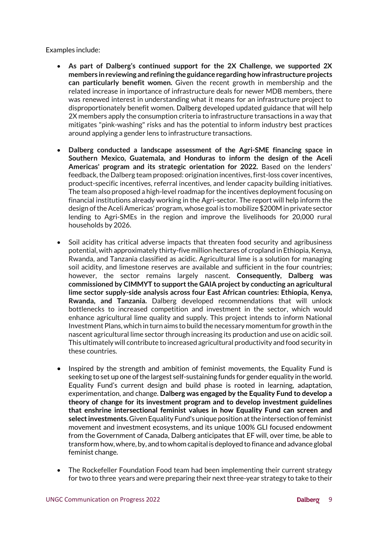Examples include:

- **As part of Dalberg's continued support for the 2X Challenge, we supported 2X members in reviewing and refining the guidance regarding howinfrastructure projects can particularly benefit women.** Given the recent growth in membership and the related increase in importance of infrastructure deals for newer MDB members, there was renewed interest in understanding what it means for an infrastructure project to disproportionately benefit women. Dalberg developed updated guidance that will help 2X members apply the consumption criteria to infrastructure transactions in a way that mitigates "pink-washing" risks and has the potential to inform industry best practices around applying a gender lens to infrastructure transactions.
- **Dalberg conducted a landscape assessment of the Agri-SME financing space in Southern Mexico, Guatemala, and Honduras to inform the design of the Aceli Americas' program and its strategic orientation for 2022.** Based on the lenders' feedback, the Dalberg team proposed: origination incentives, first-loss cover incentives, product-specific incentives, referral incentives, and lender capacity building initiatives. The team also proposed a high-level roadmap for the incentives deployment focusing on financial institutions already working in the Agri-sector. The report will help inform the design of the Aceli Americas' program, whose goal is to mobilize \$200M in private sector lending to Agri-SMEs in the region and improve the livelihoods for 20,000 rural households by 2026.
- Soil acidity has critical adverse impacts that threaten food security and agribusiness potential, with approximately thirty-five million hectares of cropland in Ethiopia, Kenya, Rwanda, and Tanzania classified as acidic. Agricultural lime is a solution for managing soil acidity, and limestone reserves are available and sufficient in the four countries; however, the sector remains largely nascent. **Consequently, Dalberg was commissioned by CIMMYT to support the GAIA project by conducting an agricultural lime sector supply-side analysis across four East African countries: Ethiopia, Kenya, Rwanda, and Tanzania.** Dalberg developed recommendations that will unlock bottlenecks to increased competition and investment in the sector, which would enhance agricultural lime quality and supply. This project intends to inform National Investment Plans, which in turn aims to build the necessary momentum for growth in the nascent agricultural lime sector through increasing its production and use on acidic soil. This ultimately will contribute to increased agricultural productivity and food security in these countries.
- Inspired by the strength and ambition of feminist movements, the Equality Fund is seeking to set up one of the largest self-sustaining funds for gender equality in the world. Equality Fund's current design and build phase is rooted in learning, adaptation, experimentation, and change. **Dalberg was engaged by the Equality Fund to develop a theory of change for its investment program and to develop investment guidelines that enshrine intersectional feminist values in how Equality Fund can screen and select investments.** Given Equality Fund's unique position at the intersection of feminist movement and investment ecosystems, and its unique 100% GLI focused endowment from the Government of Canada, Dalberg anticipates that EF will, over time, be able to transform how, where, by, and to whom capital is deployed to finance and advance global feminist change.
- The Rockefeller Foundation Food team had been implementing their current strategy for two to three years and were preparing their next three-year strategy to take to their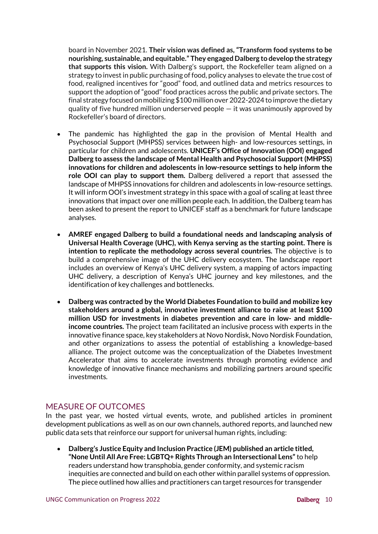board in November 2021. **Their vision was defined as, "Transform food systems to be nourishing, sustainable, and equitable." They engaged Dalberg to develop the strategy that supports this vision.** With Dalberg's support, the Rockefeller team aligned on a strategy to invest in public purchasing of food, policy analyses to elevate the true cost of food, realigned incentives for "good" food, and outlined data and metrics resources to support the adoption of "good" food practices across the public and private sectors. The final strategy focused on mobilizing \$100 million over 2022-2024 to improve the dietary quality of five hundred million underserved people — it was unanimously approved by Rockefeller's board of directors.

- The pandemic has highlighted the gap in the provision of Mental Health and Psychosocial Support (MHPSS) services between high- and low-resources settings, in particular for children and adolescents. **UNICEF's Office of Innovation (OOI) engaged Dalberg to assess the landscape of Mental Health and Psychosocial Support (MHPSS) innovations for children and adolescents in low-resource settings to help inform the role OOI can play to support them.** Dalberg delivered a report that assessed the landscape of MHPSS innovations for children and adolescents in low-resource settings. It will inform OOI's investment strategy in this space with a goal of scaling at least three innovations that impact over one million people each. In addition, the Dalberg team has been asked to present the report to UNICEF staff as a benchmark for future landscape analyses.
- **AMREF engaged Dalberg to build a foundational needs and landscaping analysis of Universal Health Coverage (UHC), with Kenya serving as the starting point. There is intention to replicate the methodology across several countries.** The objective is to build a comprehensive image of the UHC delivery ecosystem. The landscape report includes an overview of Kenya's UHC delivery system, a mapping of actors impacting UHC delivery, a description of Kenya's UHC journey and key milestones, and the identification of key challenges and bottlenecks.
- **Dalberg was contracted by the World Diabetes Foundation to build and mobilize key stakeholders around a global, innovative investment alliance to raise at least \$100 million USD for investments in diabetes prevention and care in low- and middleincome countries.** The project team facilitated an inclusive process with experts in the innovative finance space, key stakeholders at Novo Nordisk, Novo Nordisk Foundation, and other organizations to assess the potential of establishing a knowledge-based alliance. The project outcome was the conceptualization of the Diabetes Investment Accelerator that aims to accelerate investments through promoting evidence and knowledge of innovative finance mechanisms and mobilizing partners around specific investments.

### MEASURE OF OUTCOMES

In the past year, we hosted virtual events, wrote, and published articles in prominent development publications as well as on our own channels, authored reports, and launched new public data sets that reinforce our support for universal human rights, including:

• **Dalberg's Justice Equity and Inclusion Practice (JEM) published an article titled, "None Until All Are Free: LGBTQ+ Rights Through an Intersectional Lens"** to help readers understand how transphobia, gender conformity, and systemic racism inequities are connected and build on each other within parallel systems of oppression. The piece outlined how allies and practitioners can target resources for transgender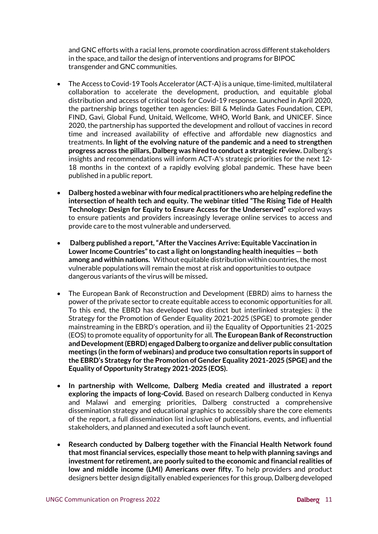and GNC efforts with a racial lens, promote coordination across different stakeholders in the space, and tailor the design of interventions and programs for BIPOC transgender and GNC communities.

- The Access to Covid-19 Tools Accelerator (ACT-A) is a unique, time-limited, multilateral collaboration to accelerate the development, production, and equitable global distribution and access of critical tools for Covid-19 response. Launched in April 2020, the partnership brings together ten agencies: Bill & Melinda Gates Foundation, CEPI, FIND, Gavi, Global Fund, Unitaid, Wellcome, WHO, World Bank, and UNICEF. Since 2020, the partnership has supported the development and rollout of vaccines in record time and increased availability of effective and affordable new diagnostics and treatments. **In light of the evolving nature of the pandemic and a need to strengthen progress across the pillars, Dalberg was hired to conduct a strategic review.** Dalberg's insights and recommendations will inform ACT-A's strategic priorities for the next 12- 18 months in the context of a rapidly evolving global pandemic. These have been published in a public report.
- **Dalberg hosted a webinar with four medical practitioners who are helping redefine the intersection of health tech and equity. The webinar titled "The Rising Tide of Health Technology: Design for Equity to Ensure Access for the Underserved"** explored ways to ensure patients and providers increasingly leverage online services to access and provide care to the most vulnerable and underserved.
- **Dalberg published a report, "After the Vaccines Arrive: Equitable Vaccination in Lower Income Countries" to cast a light on longstanding health inequities — both among and within nations.** Without equitable distribution within countries, the most vulnerable populations will remain the most at risk and opportunities to outpace dangerous variants of the virus will be missed**.**
- The European Bank of Reconstruction and Development (EBRD) aims to harness the power of the private sector to create equitable access to economic opportunities for all. To this end, the EBRD has developed two distinct but interlinked strategies: i) the Strategy for the Promotion of Gender Equality 2021-2025 (SPGE) to promote gender mainstreaming in the EBRD's operation, and ii) the Equality of Opportunities 21-2025 (EOS) to promote equality of opportunity for all. **The European Bank of Reconstruction and Development (EBRD) engaged Dalberg to organize and deliver public consultation meetings (in the form of webinars) and produce two consultation reports in support of the EBRD's Strategy for the Promotion of Gender Equality 2021-2025 (SPGE) and the Equality of Opportunity Strategy 2021-2025 (EOS).**
- **In partnership with Wellcome, Dalberg Media created and illustrated a report exploring the impacts of long-Covid.** Based on research Dalberg conducted in Kenya and Malawi and emerging priorities, Dalberg constructed a comprehensive dissemination strategy and educational graphics to accessibly share the core elements of the report, a full dissemination list inclusive of publications, events, and influential stakeholders, and planned and executed a soft launch event.
- **Research conducted by Dalberg together with the Financial Health Network found that most financial services, especially those meant to help with planning savings and investment for retirement, are poorly suited to the economic and financial realities of low and middle income (LMI) Americans over fifty.** To help providers and product designers better design digitally enabled experiences for this group, Dalberg developed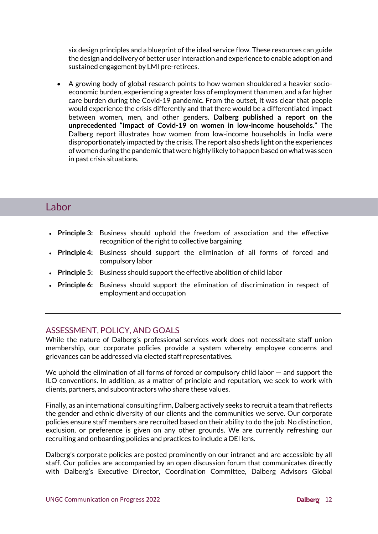six design principles and a blueprint of the ideal service flow. These resources can guide the design and delivery of better user interaction and experience to enable adoption and sustained engagement by LMI pre-retirees.

• A growing body of global research points to how women shouldered a heavier socioeconomic burden, experiencing a greater loss of employment than men, and a far higher care burden during the Covid-19 pandemic. From the outset, it was clear that people would experience the crisis differently and that there would be a differentiated impact between women, men, and other genders. **Dalberg published a report on the unprecedented "Impact of Covid-19 on women in low-income households."** The Dalberg report illustrates how women from low-income households in India were disproportionately impacted by the crisis. The report also sheds light on the experiences of women during the pandemic that were highly likely to happen based on what was seen in past crisis situations.

# **Labor**

- **Principle 3:** Business should uphold the freedom of association and the effective recognition of the right to collective bargaining
- **Principle 4:** Business should support the elimination of all forms of forced and compulsory labor
- **Principle 5:** Business should support the effective abolition of child labor
- **Principle 6:** Business should support the elimination of discrimination in respect of employment and occupation

### ASSESSMENT, POLICY, AND GOALS

While the nature of Dalberg's professional services work does not necessitate staff union membership, our corporate policies provide a system whereby employee concerns and grievances can be addressed via elected staff representatives.

We uphold the elimination of all forms of forced or compulsory child labor – and support the ILO conventions. In addition, as a matter of principle and reputation, we seek to work with clients, partners, and subcontractors who share these values.

Finally, as an international consulting firm, Dalberg actively seeks to recruit a team that reflects the gender and ethnic diversity of our clients and the communities we serve. Our corporate policies ensure staff members are recruited based on their ability to do the job. No distinction, exclusion, or preference is given on any other grounds. We are currently refreshing our recruiting and onboarding policies and practices to include a DEI lens.

Dalberg's corporate policies are posted prominently on our intranet and are accessible by all staff. Our policies are accompanied by an open discussion forum that communicates directly with Dalberg's Executive Director, Coordination Committee, Dalberg Advisors Global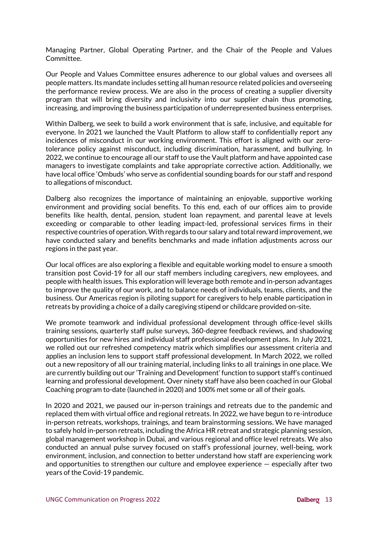Managing Partner, Global Operating Partner, and the Chair of the People and Values Committee.

Our People and Values Committee ensures adherence to our global values and oversees all people matters. Its mandate includes setting all human resource related policies and overseeing the performance review process. We are also in the process of creating a supplier diversity program that will bring diversity and inclusivity into our supplier chain thus promoting, increasing, and improving the business participation of underrepresented business enterprises.

Within Dalberg, we seek to build a work environment that is safe, inclusive, and equitable for everyone. In 2021 we launched the Vault Platform to allow staff to confidentially report any incidences of misconduct in our working environment. This effort is aligned with our zerotolerance policy against misconduct, including discrimination, harassment, and bullying. In 2022, we continue to encourage all our staff to use the Vault platform and have appointed case managers to investigate complaints and take appropriate corrective action. Additionally, we have local office 'Ombuds' who serve as confidential sounding boards for our staff and respond to allegations of misconduct.

Dalberg also recognizes the importance of maintaining an enjoyable, supportive working environment and providing social benefits. To this end, each of our offices aim to provide benefits like health, dental, pension, student loan repayment, and parental leave at levels exceeding or comparable to other leading impact-led, professional services firms in their respective countries of operation.With regards to our salary and total reward improvement, we have conducted salary and benefits benchmarks and made inflation adjustments across our regions in the past year.

Our local offices are also exploring a flexible and equitable working model to ensure a smooth transition post Covid-19 for all our staff members including caregivers, new employees, and people with health issues. This exploration will leverage both remote and in-person advantages to improve the quality of our work, and to balance needs of individuals, teams, clients, and the business. Our Americas region is piloting support for caregivers to help enable participation in retreats by providing a choice of a daily caregiving stipend or childcare provided on-site.

We promote teamwork and individual professional development through office-level skills training sessions, quarterly staff pulse surveys, 360-degree feedback reviews, and shadowing opportunities for new hires and individual staff professional development plans. In July 2021, we rolled out our refreshed competency matrix which simplifies our assessment criteria and applies an inclusion lens to support staff professional development. In March 2022, we rolled out a new repository of all our training material, including links to all trainings in one place. We are currently building out our 'Training and Development' function to support staff's continued learning and professional development. Over ninety staff have also been coached in our Global Coaching program to-date (launched in 2020) and 100% met some or all of their goals.

In 2020 and 2021, we paused our in-person trainings and retreats due to the pandemic and replaced them with virtual office and regional retreats. In 2022, we have begun to re-introduce in-person retreats, workshops, trainings, and team brainstorming sessions. We have managed to safely hold in-person retreats, including the Africa HR retreat and strategic planning session, global management workshop in Dubai, and various regional and office level retreats. We also conducted an annual pulse survey focused on staff's professional journey, well-being, work environment, inclusion, and connection to better understand how staff are experiencing work and opportunities to strengthen our culture and employee experience — especially after two years of the Covid-19 pandemic.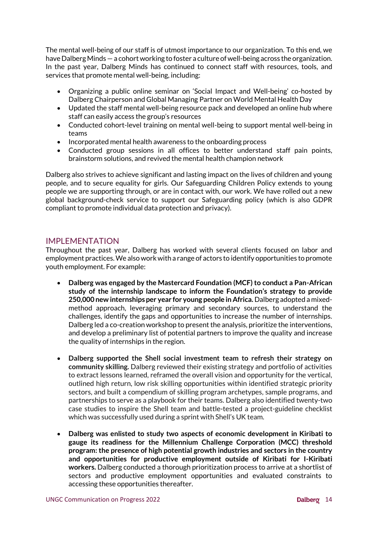The mental well-being of our staff is of utmost importance to our organization. To this end, we have Dalberg Minds — a cohort working to foster a culture of well-being across the organization. In the past year, Dalberg Minds has continued to connect staff with resources, tools, and services that promote mental well-being, including:

- Organizing a public online seminar on 'Social Impact and Well-being' co-hosted by Dalberg Chairperson and Global Managing Partner on World Mental Health Day
- Updated the staff mental well-being resource pack and developed an online hub where staff can easily access the group's resources
- Conducted cohort-level training on mental well-being to support mental well-being in teams
- Incorporated mental health awareness to the onboarding process
- Conducted group sessions in all offices to better understand staff pain points, brainstorm solutions, and revived the mental health champion network

Dalberg also strives to achieve significant and lasting impact on the lives of children and young people, and to secure equality for girls. Our Safeguarding Children Policy extends to young people we are supporting through, or are in contact with, our work. We have rolled out a new global background-check service to support our Safeguarding policy (which is also GDPR compliant to promote individual data protection and privacy).

#### IMPI FMFNTATION

Throughout the past year, Dalberg has worked with several clients focused on labor and employment practices. We also work with a range of actors to identify opportunities to promote youth employment. For example:

- **Dalberg was engaged by the Mastercard Foundation (MCF) to conduct a Pan-African study of the internship landscape to inform the Foundation's strategy to provide 250,000 new internships per year for young people in Africa.** Dalberg adopted a mixedmethod approach, leveraging primary and secondary sources, to understand the challenges, identify the gaps and opportunities to increase the number of internships. Dalberg led a co-creation workshop to present the analysis, prioritize the interventions, and develop a preliminary list of potential partners to improve the quality and increase the quality of internships in the region.
- **Dalberg supported the Shell social investment team to refresh their strategy on community skilling.** Dalberg reviewed their existing strategy and portfolio of activities to extract lessons learned, reframed the overall vision and opportunity for the vertical, outlined high return, low risk skilling opportunities within identified strategic priority sectors, and built a compendium of skilling program archetypes, sample programs, and partnerships to serve as a playbook for their teams. Dalberg also identified twenty-two case studies to inspire the Shell team and battle-tested a project-guideline checklist which was successfully used during a sprint with Shell's UK team.
- **Dalberg was enlisted to study two aspects of economic development in Kiribati to gauge its readiness for the Millennium Challenge Corporation (MCC) threshold program: the presence of high potential growth industries and sectors in the country and opportunities for productive employment outside of Kiribati for I-Kiribati workers.** Dalberg conducted a thorough prioritization process to arrive at a shortlist of sectors and productive employment opportunities and evaluated constraints to accessing these opportunities thereafter.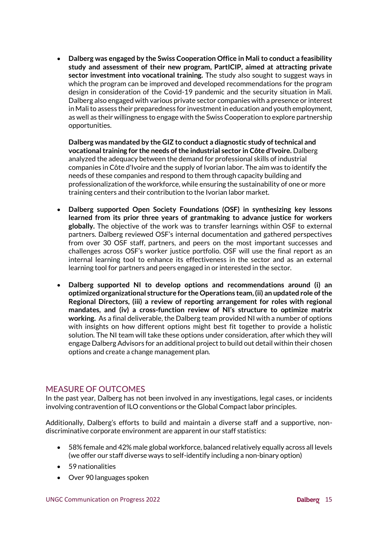• **Dalberg was engaged by the Swiss Cooperation Office in Mali to conduct a feasibility study and assessment of their new program, PartICIP, aimed at attracting private sector investment into vocational training.** The study also sought to suggest ways in which the program can be improved and developed recommendations for the program design in consideration of the Covid-19 pandemic and the security situation in Mali. Dalberg also engaged with various private sector companies with a presence or interest in Mali to assess their preparedness for investment in education and youth employment, as well as their willingness to engage with the Swiss Cooperation to explore partnership opportunities.

**Dalberg was mandated by the GIZ to conduct a diagnostic study of technical and vocational training for the needs of the industrial sector in Côte d'Ivoire.** Dalberg analyzed the adequacy between the demand for professional skills of industrial companies in Côte d'Ivoire and the supply of Ivorian labor. The aim was to identify the needs of these companies and respond to them through capacity building and professionalization of the workforce, while ensuring the sustainability of one or more training centers and their contribution to the Ivorian labor market.

- **Dalberg supported Open Society Foundations (OSF) in synthesizing key lessons learned from its prior three years of grantmaking to advance justice for workers globally.** The objective of the work was to transfer learnings within OSF to external partners. Dalberg reviewed OSF's internal documentation and gathered perspectives from over 30 OSF staff, partners, and peers on the most important successes and challenges across OSF's worker justice portfolio. OSF will use the final report as an internal learning tool to enhance its effectiveness in the sector and as an external learning tool for partners and peers engaged in or interested in the sector.
- **Dalberg supported NI to develop options and recommendations around (i) an optimized organizational structure for the Operations team, (ii) an updated role of the Regional Directors, (iii) a review of reporting arrangement for roles with regional mandates, and (iv) a cross-function review of NI's structure to optimize matrix working.** As a final deliverable, the Dalberg team provided NI with a number of options with insights on how different options might best fit together to provide a holistic solution. The NI team will take these options under consideration, after which they will engage Dalberg Advisors for an additional project to build out detail within their chosen options and create a change management plan.

### MEASURE OF OUTCOMES

In the past year, Dalberg has not been involved in any investigations, legal cases, or incidents involving contravention of ILO conventions or the Global Compact labor principles.

Additionally, Dalberg's efforts to build and maintain a diverse staff and a supportive, nondiscriminative corporate environment are apparent in our staff statistics:

- 58% female and 42% male global workforce, balanced relatively equally across all levels (we offer our staff diverse ways to self-identify including a non-binary option)
- 59 nationalities
- Over 90 languages spoken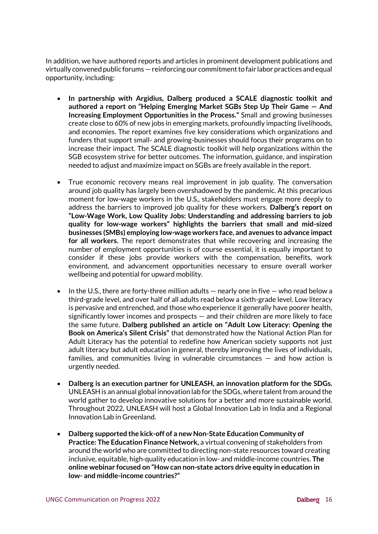In addition, we have authored reports and articles in prominent development publications and virtually convened public forums — reinforcing our commitment to fair labor practices and equal opportunity, including:

- **In partnership with Argidius, Dalberg produced a SCALE diagnostic toolkit and authored a report on "Helping Emerging Market SGBs Step Up Their Game — And Increasing Employment Opportunities in the Process."** Small and growing businesses create close to 60% of new jobs in emerging markets, profoundly impacting livelihoods, and economies. The report examines five key considerations which organizations and funders that support small- and growing-businesses should focus their programs on to increase their impact. The SCALE diagnostic toolkit will help organizations within the SGB ecosystem strive for better outcomes. The information, guidance, and inspiration needed to adjust and maximize impact on SGBs are freely available in the report.
- True economic recovery means real improvement in job quality. The conversation around job quality has largely been overshadowed by the pandemic. At this precarious moment for low-wage workers in the U.S., stakeholders must engage more deeply to address the barriers to improved job quality for these workers. **Dalberg's report on "Low-Wage Work, Low Quality Jobs: Understanding and addressing barriers to job quality for low-wage workers" highlights the barriers that small and mid-sized businesses (SMBs) employing low-wage workers face, and avenues to advance impact for all workers.** The report demonstrates that while recovering and increasing the number of employment opportunities is of course essential, it is equally important to consider if these jobs provide workers with the compensation, benefits, work environment, and advancement opportunities necessary to ensure overall worker wellbeing and potential for upward mobility.
- In the U.S., there are forty-three million adults  $-$  nearly one in five  $-$  who read below a third-grade level, and over half of all adults read below a sixth-grade level. Low literacy is pervasive and entrenched, and those who experience it generally have poorer health, significantly lower incomes and prospects — and their children are more likely to face the same future. **Dalberg published an article on "Adult Low Literacy: Opening the Book on America's Silent Crisis"** that demonstrated how the National Action Plan for Adult Literacy has the potential to redefine how American society supports not just adult literacy but adult education in general, thereby improving the lives of individuals, families, and communities living in vulnerable circumstances — and how action is urgently needed.
- **Dalberg is an execution partner for UNLEASH, an innovation platform for the SDGs.** UNLEASH is an annual global innovation lab for the SDGs, where talent from around the world gather to develop innovative solutions for a better and more sustainable world. Throughout 2022, UNLEASH will host a Global Innovation Lab in India and a Regional Innovation Lab in Greenland.
- **Dalberg supported the kick-off of a new Non-State Education Community of Practice: The Education Finance Network,** a virtual convening of stakeholders from around the world who are committed to directing non-state resources toward creating inclusive, equitable, high-quality education in low- and middle-income countries. **The online webinar focused on "How can non-state actors drive equity in education in low- and middle-income countries?"**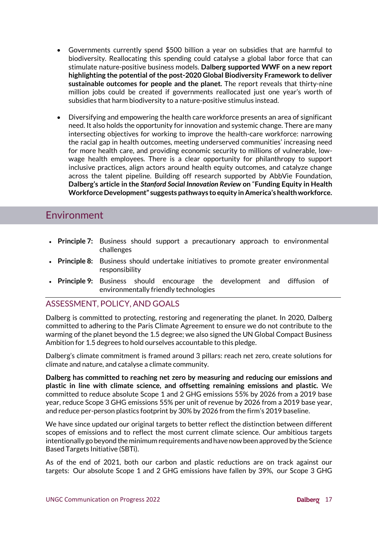- Governments currently spend \$500 billion a year on subsidies that are harmful to biodiversity. Reallocating this spending could catalyse a global labor force that can stimulate nature-positive business models. **Dalberg supported WWF on a new report highlighting the potential of the post-2020 Global Biodiversity Framework to deliver sustainable outcomes for people and the planet.** The report reveals that thirty-nine million jobs could be created if governments reallocated just one year's worth of subsidies that harm biodiversity to a nature-positive stimulus instead.
- Diversifying and empowering the health care workforce presents an area of significant need. It also holds the opportunity for innovation and systemic change. There are many intersecting objectives for working to improve the health-care workforce: narrowing the racial gap in health outcomes, meeting underserved communities' increasing need for more health care, and providing economic security to millions of vulnerable, lowwage health employees. There is a clear opportunity for philanthropy to support inclusive practices, align actors around health equity outcomes, and catalyze change across the talent pipeline. Building off research supported by AbbVie Foundation, **Dalberg's article in the** *Stanford Social Innovation Review* **on** "**Funding Equity in Health Workforce Development" suggests pathways to equity in America's health workforce.**

### Environment

- **Principle 7:** Business should support a precautionary approach to environmental challenges
- **Principle 8:** Business should undertake initiatives to promote greater environmental responsibility
- **Principle 9:** Business should encourage the development and diffusion of environmentally friendly technologies

### ASSESSMENT, POLICY, AND GOALS

Dalberg is committed to protecting, restoring and regenerating the planet. In 2020, Dalberg committed to adhering to the Paris Climate Agreement to ensure we do not contribute to the warming of the planet beyond the 1.5 degree; we also signed the UN Global Compact Business Ambition for 1.5 degrees to hold ourselves accountable to this pledge.

Dalberg's climate commitment is framed around 3 pillars: reach net zero, create solutions for climate and nature, and catalyse a climate community.

**Dalberg has committed to reaching net zero by measuring and reducing our emissions and plastic in line with climate science, and offsetting remaining emissions and plastic.** We committed to reduce absolute Scope 1 and 2 GHG emissions 55% by 2026 from a 2019 base year, reduce Scope 3 GHG emissions 55% per unit of revenue by 2026 from a 2019 base year, and reduce per-person plastics footprint by 30% by 2026 from the firm's 2019 baseline.

We have since updated our original targets to better reflect the distinction between different scopes of emissions and to reflect the most current climate science. Our ambitious targets intentionally go beyond the minimum requirements and have now been approved by the Science Based Targets Initiative (SBTi).

As of the end of 2021, both our carbon and plastic reductions are on track against our targets: Our absolute Scope 1 and 2 GHG emissions have fallen by 39%, our Scope 3 GHG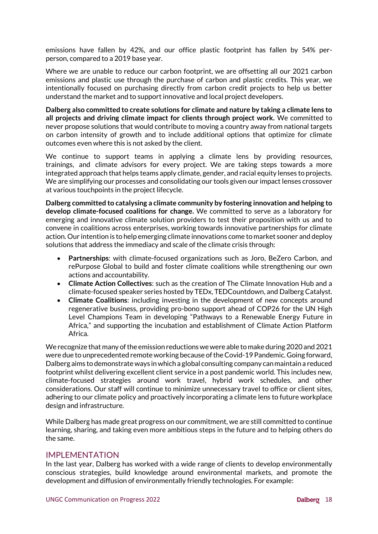emissions have fallen by 42%, and our office plastic footprint has fallen by 54% perperson, compared to a 2019 base year.

Where we are unable to reduce our carbon footprint, we are offsetting all our 2021 carbon emissions and plastic use through the purchase of carbon and plastic credits. This year, we intentionally focused on purchasing directly from carbon credit projects to help us better understand the market and to support innovative and local project developers.

**Dalberg also committed to create solutions for climate and nature by taking a climate lens to all projects and driving climate impact for clients through project work.** We committed to never propose solutions that would contribute to moving a country away from national targets on carbon intensity of growth and to include additional options that optimize for climate outcomes even where this is not asked by the client.

We continue to support teams in applying a climate lens by providing resources, trainings, and climate advisors for every project. We are taking steps towards a more integrated approach that helps teams apply climate, gender, and racial equity lenses to projects. We are simplifying our processes and consolidating our tools given our impact lenses crossover at various touchpoints in the project lifecycle.

**Dalberg committed to catalysing a climate community by fostering innovation and helping to develop climate-focused coalitions for change.** We committed to serve as a laboratory for emerging and innovative climate solution providers to test their proposition with us and to convene in coalitions across enterprises, working towards innovative partnerships for climate action. Our intention is to help emerging climate innovations come to market sooner and deploy solutions that address the immediacy and scale of the climate crisis through:

- **Partnerships**: with climate-focused organizations such as Joro, BeZero Carbon, and rePurpose Global to build and foster climate coalitions while strengthening our own actions and accountability.
- **Climate Action Collectives**: such as the creation of The Climate Innovation Hub and a climate-focused speaker series hosted by TEDx, TEDCountdown, and Dalberg Catalyst.
- **Climate Coalitions**: including investing in the development of new concepts around regenerative business, providing pro-bono support ahead of COP26 for the [UN High](https://unfccc.int/climate-action/marrakech-partnership/actors/meet-the-champions)  [Level Champions Team](https://unfccc.int/climate-action/marrakech-partnership/actors/meet-the-champions) in developing "Pathways to a Ren[ewable Energy Future in](https://dalberg.com/our-ideas/pathways-to-a-renewable-energy-future-in-africa/)  [Africa](https://dalberg.com/our-ideas/pathways-to-a-renewable-energy-future-in-africa/)," and supporting the incubation and establishment of [Climate Action Platform](https://capa.earthrise.media/)  [Africa.](https://capa.earthrise.media/)

We recognize that many of the emission reductions we were able to make during 2020 and 2021 were due to unprecedented remote working because of the Covid-19 Pandemic. Going forward, Dalberg aims to demonstrate ways in which a global consulting company can maintain a reduced footprint whilst delivering excellent client service in a post pandemic world. This includes new, climate-focused strategies around work travel, hybrid work schedules, and other considerations. Our staff will continue to minimize unnecessary travel to office or client sites, adhering to our climate policy and proactively incorporating a climate lens to future workplace design and infrastructure.

While Dalberg has made great progress on our commitment, we are still committed to continue learning, sharing, and taking even more ambitious steps in the future and to helping others do the same.

#### IMPI FMFNTATION

In the last year, Dalberg has worked with a wide range of clients to develop environmentally conscious strategies, build knowledge around environmental markets, and promote the development and diffusion of environmentally friendly technologies. For example: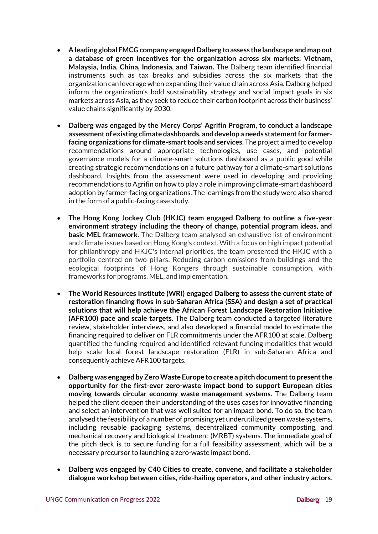- **A leading global FMCG company engaged Dalberg to assess the landscape and map out a database of green incentives for the organization across six markets: Vietnam, Malaysia, India, China, Indonesia, and Taiwan.** The Dalberg team identified financial instruments such as tax breaks and subsidies across the six markets that the organization can leverage when expanding their value chain across Asia. Dalberg helped inform the organization's bold sustainability strategy and social impact goals in six markets across Asia, as they seek to reduce their carbon footprint across their business' value chains significantly by 2030.
- **Dalberg was engaged by the Mercy Corps' Agrifin Program, to conduct a landscape assessment of existing climate dashboards, and develop a needs statement for farmerfacing organizations for climate-smart tools and services.** The project aimed to develop recommendations around appropriate technologies, use cases, and potential governance models for a climate-smart solutions dashboard as a public good while creating strategic recommendations on a future pathway for a climate-smart solutions dashboard. Insights from the assessment were used in developing and providing recommendations to Agrifin on how to play a role in improving climate-smart dashboard adoption by farmer-facing organizations. The learnings from the study were also shared in the form of a public-facing case study.
- **The Hong Kong Jockey Club (HKJC) team engaged Dalberg to outline a five-year environment strategy including the theory of change, potential program ideas, and basic MEL framework.** The Dalberg team analysed an exhaustive list of environment and climate issues based on Hong Kong's context. With a focus on high impact potential for philanthropy and HKJC's internal priorities, the team presented the HKJC with a portfolio centred on two pillars: Reducing carbon emissions from buildings and the ecological footprints of Hong Kongers through sustainable consumption, with frameworks for programs, MEL, and implementation.
- **The World Resources Institute (WRI) engaged Dalberg to assess the current state of restoration financing flows in sub-Saharan Africa (SSA) and design a set of practical solutions that will help achieve the African Forest Landscape Restoration Initiative (AFR100) pace and scale targets.** The Dalberg team conducted a targeted literature review, stakeholder interviews, and also developed a financial model to estimate the financing required to deliver on FLR commitments under the AFR100 at scale. Dalberg quantified the funding required and identified relevant funding modalities that would help scale local forest landscape restoration (FLR) in sub-Saharan Africa and consequently achieve AFR100 targets.
- **Dalberg was engaged by Zero Waste Europe to create a pitch document to present the opportunity for the first-ever zero-waste impact bond to support European cities moving towards circular economy waste management systems.** The Dalberg team helped the client deepen their understanding of the uses cases for innovative financing and select an intervention that was well suited for an impact bond. To do so, the team analysed the feasibility of a number of promising yet underutilized green waste systems, including reusable packaging systems, decentralized community composting, and mechanical recovery and biological treatment (MRBT) systems. The immediate goal of the pitch deck is to secure funding for a full feasibility assessment, which will be a necessary precursor to launching a zero-waste impact bond.
- **Dalberg was engaged by C40 Cities to create, convene, and facilitate a stakeholder dialogue workshop between cities, ride-hailing operators, and other industry actors**.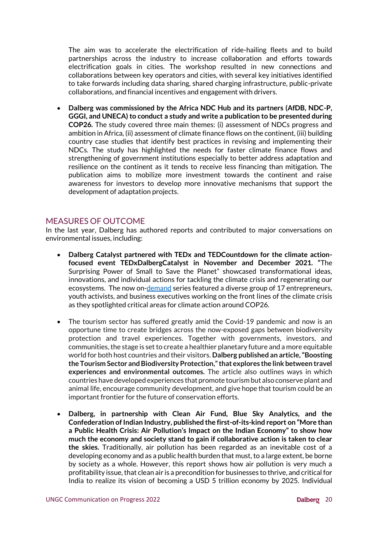The aim was to accelerate the electrification of ride-hailing fleets and to build partnerships across the industry to increase collaboration and efforts towards electrification goals in cities. The workshop resulted in new connections and collaborations between key operators and cities, with several key initiatives identified to take forwards including data sharing, shared charging infrastructure, public-private collaborations, and financial incentives and engagement with drivers.

• **Dalberg was commissioned by the Africa NDC Hub and its partners (AfDB, NDC-P, GGGI, and UNECA) to conduct a study and write a publication to be presented during COP26.** The study covered three main themes: (i) assessment of NDCs progress and ambition in Africa, (ii) assessment of climate finance flows on the continent, (iii) building country case studies that identify best practices in revising and implementing their NDCs. The study has highlighted the needs for faster climate finance flows and strengthening of government institutions especially to better address adaptation and resilience on the continent as it tends to receive less financing than mitigation. The publication aims to mobilize more investment towards the continent and raise awareness for investors to develop more innovative mechanisms that support the development of adaptation projects.

#### MEASURES OF OUTCOME

In the last year, Dalberg has authored reports and contributed to major conversations on environmental issues, including:

- **Dalberg Catalyst partnered with TEDx and TEDCountdown for the climate actionfocused event TEDxDalbergCatalyst in November and December 2021. "**The Surprising Power of Small to Save the Planet" showcased transformational ideas, innovations, and individual actions for tackling the climate crisis and regenerating our ecosystems. The now [on-demand](https://tedxdalbergcatalyst.com/) series featured a diverse group of 17 entrepreneurs, youth activists, and business executives working on the front lines of the climate crisis as they spotlighted critical areas for climate action around COP26.
- The tourism sector has suffered greatly amid the Covid-19 pandemic and now is an opportune time to create bridges across the now-exposed gaps between biodiversity protection and travel experiences. Together with governments, investors, and communities, the stage is set to create a healthier planetary future and a more equitable world for both host countries and their visitors. **Dalberg published an article, "Boosting the Tourism Sector and Biodiversity Protection," that explores the link between travel experiences and environmental outcomes.** The article also outlines ways in which countries have developed experiences that promote tourism but also conserve plant and animal life, encourage community development, and give hope that tourism could be an important frontier for the future of conservation efforts.
- **Dalberg, in partnership with Clean Air Fund, Blue Sky Analytics, and the Confederation of Indian Industry, published the first-of-its-kind report on "More than a Public Health Crisis: Air Pollution's Impact on the Indian Economy" to show how much the economy and society stand to gain if collaborative action is taken to clear the skies.** Traditionally, air pollution has been regarded as an inevitable cost of a developing economy and as a public health burden that must, to a large extent, be borne by society as a whole. However, this report shows how air pollution is very much a profitability issue, that clean air is a precondition for businesses to thrive, and critical for India to realize its vision of becoming a USD 5 trillion economy by 2025. Individual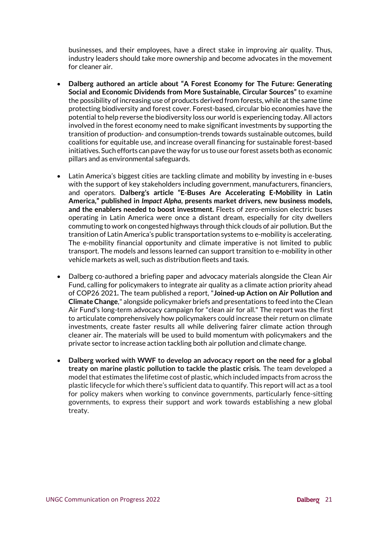businesses, and their employees, have a direct stake in improving air quality. Thus, industry leaders should take more ownership and become advocates in the movement for cleaner air.

- **Dalberg authored an article about "A Forest Economy for The Future: Generating Social and Economic Dividends from More Sustainable, Circular Sources"** to examine the possibility of increasing use of products derived from forests, while at the same time protecting biodiversity and forest cover. Forest-based, circular bio economies have the potential to help reverse the biodiversity loss our world is experiencing today. All actors involved in the forest economy need to make significant investments by supporting the transition of production- and consumption-trends towards sustainable outcomes, build coalitions for equitable use, and increase overall financing for sustainable forest-based initiatives. Such efforts can pave the way for us to use our forest assets both as economic pillars and as environmental safeguards.
- Latin America's biggest cities are tackling climate and mobility by investing in e-buses with the support of key stakeholders including government, manufacturers, financiers, and operators. **Dalberg's article "E-Buses Are Accelerating E-Mobility in Latin America," published in** *Impact Alpha***, presents market drivers, new business models, and the enablers needed to boost investment.** Fleets of zero-emission electric buses operating in Latin America were once a distant dream, especially for city dwellers commuting to work on congested highways through thick clouds of air pollution. But the transition of Latin America's public transportation systems to e-mobility is accelerating. The e-mobility financial opportunity and climate imperative is not limited to public transport. The models and lessons learned can support transition to e-mobility in other vehicle markets as well, such as distribution fleets and taxis.
- Dalberg co-authored a briefing paper and advocacy materials alongside the Clean Air Fund, calling for policymakers to integrate air quality as a climate action priority ahead of COP26 2021**.** The team published a report, "**Joined-up Action on Air Pollution and Climate Change**," alongside policymaker briefs and presentations to feed into the Clean Air Fund's long-term advocacy campaign for "clean air for all." The report was the first to articulate comprehensively how policymakers could increase their return on climate investments, create faster results all while delivering fairer climate action through cleaner air. The materials will be used to build momentum with policymakers and the private sector to increase action tackling both air pollution and climate change.
- **Dalberg worked with WWF to develop an advocacy report on the need for a global treaty on marine plastic pollution to tackle the plastic crisis.** The team developed a model that estimates the lifetime cost of plastic, which included impacts from across the plastic lifecycle for which there's sufficient data to quantify. This report will act as a tool for policy makers when working to convince governments, particularly fence-sitting governments, to express their support and work towards establishing a new global treaty.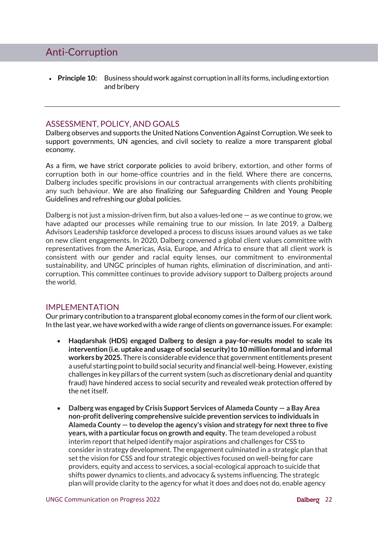# Anti-Corruption

• **Principle 10:** Business should work against corruption in all its forms, including extortion and bribery

### ASSESSMENT, POLICY, AND GOALS

Dalberg observes and supports the United Nations Convention Against Corruption. We seek to support governments, UN agencies, and civil society to realize a more transparent global economy.

As a firm, we have strict corporate policies to avoid bribery, extortion, and other forms of corruption both in our home-office countries and in the field. Where there are concerns, Dalberg includes specific provisions in our contractual arrangements with clients prohibiting any such behaviour. We are also finalizing our Safeguarding Children and Young People Guidelines and refreshing our global policies.

Dalberg is not just a mission-driven firm, but also a values-led one  $-$  as we continue to grow, we have adapted our processes while remaining true to our mission. In late 2019, a Dalberg Advisors Leadership taskforce developed a process to discuss issues around values as we take on new client engagements. In 2020, Dalberg convened a global client values committee with representatives from the Americas, Asia, Europe, and Africa to ensure that all client work is consistent with our gender and racial equity lenses, our commitment to environmental sustainability, and UNGC principles of human rights, elimination of discrimination, and anticorruption. This committee continues to provide advisory support to Dalberg projects around the world.

#### IMPLEMENTATION

Our primary contribution to a transparent global economy comes in the form of our client work. In the last year, we have worked with a wide range of clients on governance issues. For example:

- **Haqdarshak (HDS) engaged Dalberg to design a pay-for-results model to scale its intervention (i.e. uptake and usage of social security) to 10 million formal and informal workers by 2025.** There is considerable evidence that government entitlements present a useful starting point to build social security and financial well-being. However, existing challenges in key pillars of the current system (such as discretionary denial and quantity fraud) have hindered access to social security and revealed weak protection offered by the net itself.
- **Dalberg was engaged by Crisis Support Services of Alameda County — a Bay Area non-profit delivering comprehensive suicide prevention services to individuals in Alameda County — to develop the agency's vision and strategy for next three to five years, with a particular focus on growth and equity.** The team developed a robust interim report that helped identify major aspirations and challenges for CSS to consider in strategy development. The engagement culminated in a strategic plan that set the vision for CSS and four strategic objectives focused on well-being for care providers, equity and access to services, a social-ecological approach to suicide that shifts power dynamics to clients, and advocacy & systems influencing. The strategic plan will provide clarity to the agency for what it does and does not do, enable agency